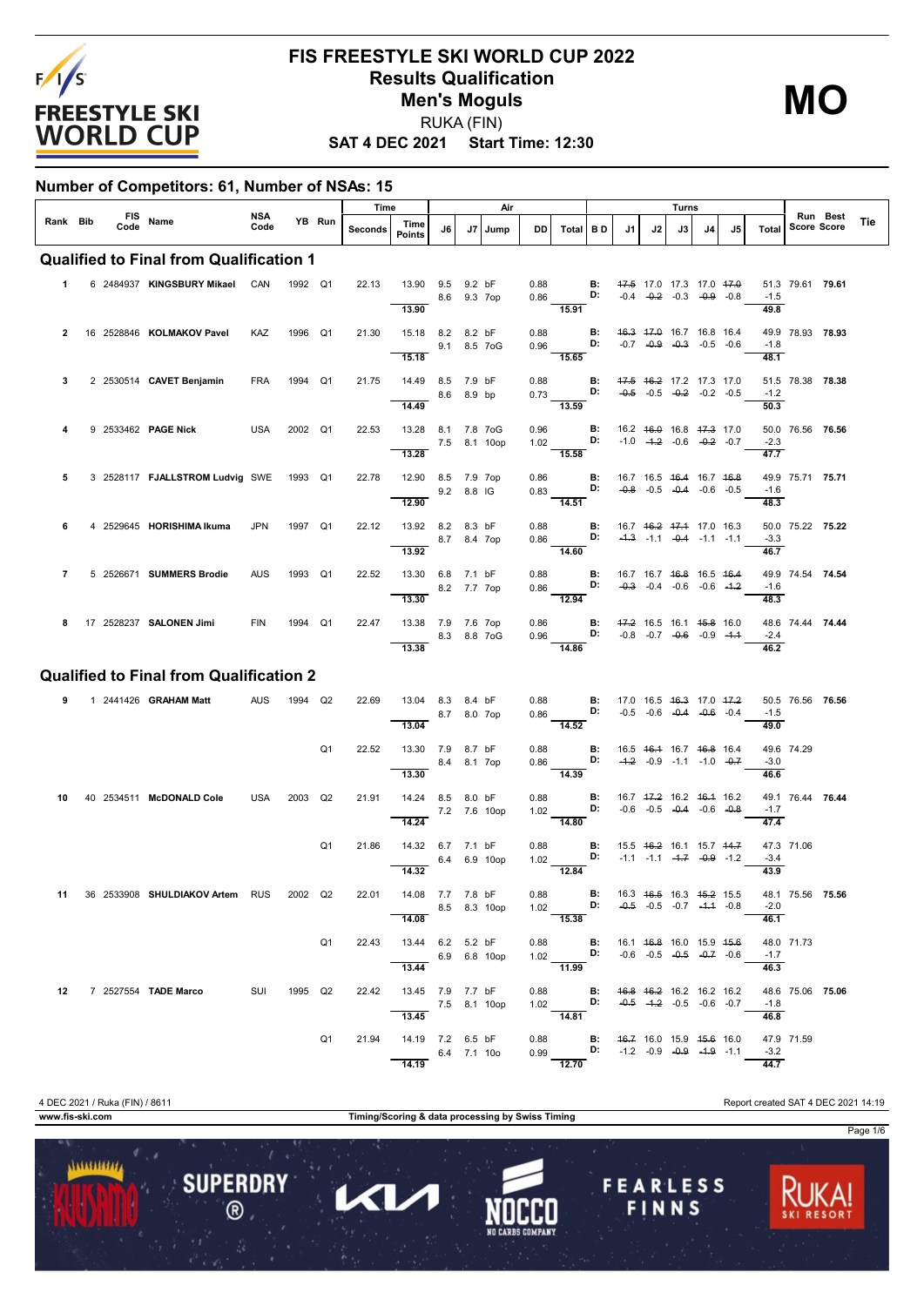

#### **SAT 4 DEC 2021 Start Time: 12:30 FIS FREESTYLE SKI WORLD CUP 2022 Results Qualification Men's Moguls** RUKA (FIN)

**MO**

#### **Number of Competitors: 61, Number of NSAs: 15**

|                |      |            |                                                                   |             |         |                | Time    |                                                     |              |                       | Air          |              |                                                                                                                     |                 |                                                                   |    | Turns                                                                                |    |     |                             |                    |          |     |
|----------------|------|------------|-------------------------------------------------------------------|-------------|---------|----------------|---------|-----------------------------------------------------|--------------|-----------------------|--------------|--------------|---------------------------------------------------------------------------------------------------------------------|-----------------|-------------------------------------------------------------------|----|--------------------------------------------------------------------------------------|----|-----|-----------------------------|--------------------|----------|-----|
| Rank Bib       | Code | <b>FIS</b> | Name                                                              | NSA<br>Code |         | YB Run         | Seconds | Time<br><b>Points</b>                               | J6           | J7                    | Jump         | DD           | Total BD                                                                                                            |                 | J1                                                                | J2 | J3                                                                                   | J4 | .15 | Total                       | <b>Score Score</b> | Run Best | Tie |
|                |      |            | <b>Qualified to Final from Qualification 1</b>                    |             |         |                |         |                                                     |              |                       |              |              |                                                                                                                     |                 |                                                                   |    |                                                                                      |    |     |                             |                    |          |     |
| 1              |      |            | 6 2484937 KINGSBURY Mikael                                        | CAN         | 1992 Q1 |                | 22.13   | 13.90 9.5<br>13.90                                  |              | 9.2 bF<br>8.6 9.3 7op |              | 0.88<br>0.86 | 15.91                                                                                                               | B:<br>D:        | 47.5 17.0 17.3 17.0 47.0<br>$-0.4$ $-0.2$ $-0.3$ $-0.9$ $-0.8$    |    |                                                                                      |    |     | $-1.5$<br>49.8              | 51.3 79.61 79.61   |          |     |
| $\overline{2}$ |      |            | 16 2528846 KOLMAKOV Pavel                                         | KAZ         | 1996 Q1 |                | 21.30   | 15.18 8.2 8.2 bF<br>15.18                           |              | 9.1 8.5 7 oG          |              | 0.88<br>0.96 | 15.65                                                                                                               | <b>B:</b><br>D: |                                                                   |    | 46.3 47.0 16.7 16.8 16.4<br>$-0.7$ $-0.9$ $-0.3$ $-0.5$ $-0.6$                       |    |     | $-1.8$<br>48.1              | 49.9 78.93 78.93   |          |     |
| 3              |      |            | 2 2530514 CAVET Benjamin                                          | <b>FRA</b>  | 1994 Q1 |                | 21.75   | 14.49 8.5 7.9 bF<br>14.49                           |              | 8.6 8.9 bp            |              | 0.88<br>0.73 | 13.59                                                                                                               | в:<br>D:        | 47.5 46.2 17.2 17.3 17.0                                          |    | $-0.5$ $-0.5$ $-0.2$ $-0.2$ $-0.5$                                                   |    |     | $-1.2$<br>50.3              | 51.5 78.38 78.38   |          |     |
|                |      |            | 9 2533462 PAGE Nick                                               | USA         | 2002 Q1 |                | 22.53   | 13.28 8.1 7.8 7oG<br>13.28                          | 7.5 8.1 10op |                       |              | 0.96<br>1.02 | 15.58                                                                                                               | В:<br>D:        | $-1.0$ $-4.2$ $-0.6$ $-0.2$ $-0.7$                                |    | 16.2 46.0 16.8 47.3 17.0                                                             |    |     | $-2.3$<br>47.7              | 50.0 76.56 76.56   |          |     |
| 5              |      |            | 3 2528117 FJALLSTROM Ludvig SWE 1993 Q1                           |             |         |                | 22.78   | 12.90 8.5 7.9 7op<br>12.90                          |              | 9.2 8.8 IG            |              | 0.86<br>0.83 | $\overline{14.51}$                                                                                                  | в:<br>D:        |                                                                   |    | 16.7 16.5 <del>16.4</del> 16.7 <del>16.8</del><br>$-0.8$ $-0.5$ $-0.4$ $-0.6$ $-0.5$ |    |     | $-1.6$<br>48.3              | 49.9 75.71 75.71   |          |     |
| 6              |      |            | 4 2529645 HORISHIMA Ikuma                                         | <b>JPN</b>  | 1997 Q1 |                | 22.12   | 13.92 8.2 8.3 bF<br>13.92                           |              | 8.7 8.4 7op           |              | 0.88<br>0.86 | 14.60                                                                                                               | в:              | 16.7 46.2 47.4 17.0 16.3<br>D: $-4.3$ $-1.1$ $-0.4$ $-1.1$ $-1.1$ |    |                                                                                      |    |     | $-3.3$<br>46.7              | 50.0 75.22 75.22   |          |     |
| $\overline{7}$ |      |            | 5 2526671 SUMMERS Brodie                                          | AUS         | 1993 Q1 |                | 22.52   | 13.30 6.8 7.1 bF<br>13.30                           |              | 8.2 7.7 7op           |              | 0.88<br>0.86 | 12.94                                                                                                               | <b>B:</b><br>D: | 16.7 16.7 <del>16.8</del> 16.5 <del>16.4</del>                    |    | $-0.3$ $-0.4$ $-0.6$ $-0.6$ $-4.2$                                                   |    |     | $-1.6$<br>48.3              | 49.9 74.54 74.54   |          |     |
| 8              |      |            | 17 2528237 SALONEN Jimi                                           | FIN         | 1994 Q1 |                | 22.47   | 13.38 7.9 7.6 7op<br>13.38                          |              | 8.3 8.8 7 o G         |              | 0.86<br>0.96 | 14.86                                                                                                               | <b>B:</b><br>D: | 47.2 16.5 16.1 45.8 16.0                                          |    | $-0.8$ $-0.7$ $-0.6$ $-0.9$ $-1.4$                                                   |    |     | $-2.4$<br>46.2              | 48.6 74.44 74.44   |          |     |
|                |      |            | <b>Qualified to Final from Qualification 2</b>                    |             |         |                |         |                                                     |              |                       |              |              |                                                                                                                     |                 |                                                                   |    |                                                                                      |    |     |                             |                    |          |     |
| 9              |      |            | 1 2441426 <b>GRAHAM Matt</b>                                      | AUS         | 1994 Q2 |                | 22.69   | 13.04 8.3                                           |              | 8.4 bF                |              | 0.88         |                                                                                                                     | <b>B:</b>       |                                                                   |    | 17.0 16.5 <del>16.3</del> 17.0 47.2                                                  |    |     |                             | 50.5 76.56 76.56   |          |     |
|                |      |            |                                                                   |             |         |                |         | 13.04                                               | 8.7          |                       | 8.0 7op      | 0.86         | $-14.52$                                                                                                            | D:              |                                                                   |    | $-0.5$ $-0.6$ $-0.4$ $-0.6$ $-0.4$                                                   |    |     | $-1.5$<br>49.0              |                    |          |     |
|                |      |            |                                                                   |             |         | Q <sub>1</sub> | 22.52   | 13.30 7.9 8.7 bF<br>13.30                           |              | 8.4 8.1 7op           |              | 0.88<br>0.86 | 14.39                                                                                                               | B:<br>D:        |                                                                   |    | 16.5 46.4 16.7 46.8 16.4<br>$-4.2$ $-0.9$ $-1.1$ $-1.0$ $-0.7$                       |    |     | $-3.0$<br>46.6              | 49.6 74.29         |          |     |
| 10             |      |            | 40 2534511 McDONALD Cole                                          | <b>USA</b>  | 2003 Q2 |                | 21.91   | 14.24 8.5 8.0 bF<br>14.24                           |              |                       | 7.2 7.6 10op | 0.88<br>1.02 | 14.80                                                                                                               | В:<br>D:        | 16.7 47.2 16.2 46.4 16.2                                          |    | $-0.6$ $-0.5$ $-0.4$ $-0.6$ $-0.8$                                                   |    |     | $-1.7$<br>47.4              | 49.1 76.44 76.44   |          |     |
|                |      |            |                                                                   |             |         | Q <sub>1</sub> | 21.86   | 14.32 6.7 7.1 bF<br>14.32                           | 6.4          |                       | 6.9 10op     | 0.88<br>1.02 | 12.84                                                                                                               | <b>B:</b><br>D: |                                                                   |    | 15.5 <del>16.2</del> 16.1 15.7 <del>14.7</del><br>$-1.1$ $-1.1$ $-4.7$ $-0.9$ $-1.2$ |    |     | $-3.4$<br>43.9              | 47.3 71.06         |          |     |
|                |      |            | 11 36 2533908 SHULDIAKOV Artem RUS 2002 Q2 22.01 14.08 7.7 7.8 bF |             |         |                |         | 8.5 8.3 10op<br>14.08                               |              |                       |              |              | 0.88 <b>B:</b> 16.3 4 <del>6.5</del> 16.3 4 <del>5.2</del> 15.5<br>1.02 <b>D:</b> -0.5 -0.5 -0.7 -4.4 -0.8<br>15.38 |                 |                                                                   |    |                                                                                      |    |     | $-2.0$<br>$\overline{46.1}$ | 48.1 75.56 75.56   |          |     |
|                |      |            |                                                                   |             |         | Q <sub>1</sub> | 22.43   | 13.44 6.2 5.2 bF<br>$6.9 6.8 10$ op<br>13.44        |              |                       |              |              | 0.88 <b>B:</b> 16.1 46.8 16.0 15.9 45.6<br>1.02 <b>D:</b> -0.6 -0.5 -0.5 -0.7 -0.6<br>11.99                         |                 |                                                                   |    |                                                                                      |    |     | $-1.7$<br>46.3              | 48.0 71.73         |          |     |
| 12             |      |            | 7 2527554 TADE Marco SUI                                          |             | 1995 Q2 |                |         | 22.42 13.45 7.9 7.7 bF<br>7.5 8.1 10op<br>13.45     |              |                       |              |              | 0.88 <b>B</b> : 4 <del>6.8</del> 46.2 16.2 16.2 16.2<br>1.02 <b>D:</b> -0.5 -1.2 -0.5 -0.6 -0.7<br>14.81            |                 |                                                                   |    |                                                                                      |    |     | $-1.8$<br>46.8              | 48.6 75.06 75.06   |          |     |
|                |      |            |                                                                   |             |         | Q1             |         | 21.94  14.19  7.2  6.5 bF<br>$6.4$ 7.1 10o<br>14.19 |              |                       |              |              | 0.88 <b>B:</b> 4 <del>6.7</del> 16.0 15.9 45.6 16.0<br>0.99 <b>D:</b> -1.2 -0.9 -0.9 -1.9 -1.1<br>12.70             |                 |                                                                   |    |                                                                                      |    |     | $-3.2$<br>44.7              | 47.9 71.59         |          |     |

**www.fis-ski.com Timing/Scoring & data processing by Swiss Timing**

 $\mathbf{L}$ 

1

**SUPERDRY** 

 $\circledR$ 

...........

**FEARLESS** 

FINNS

Page 1/6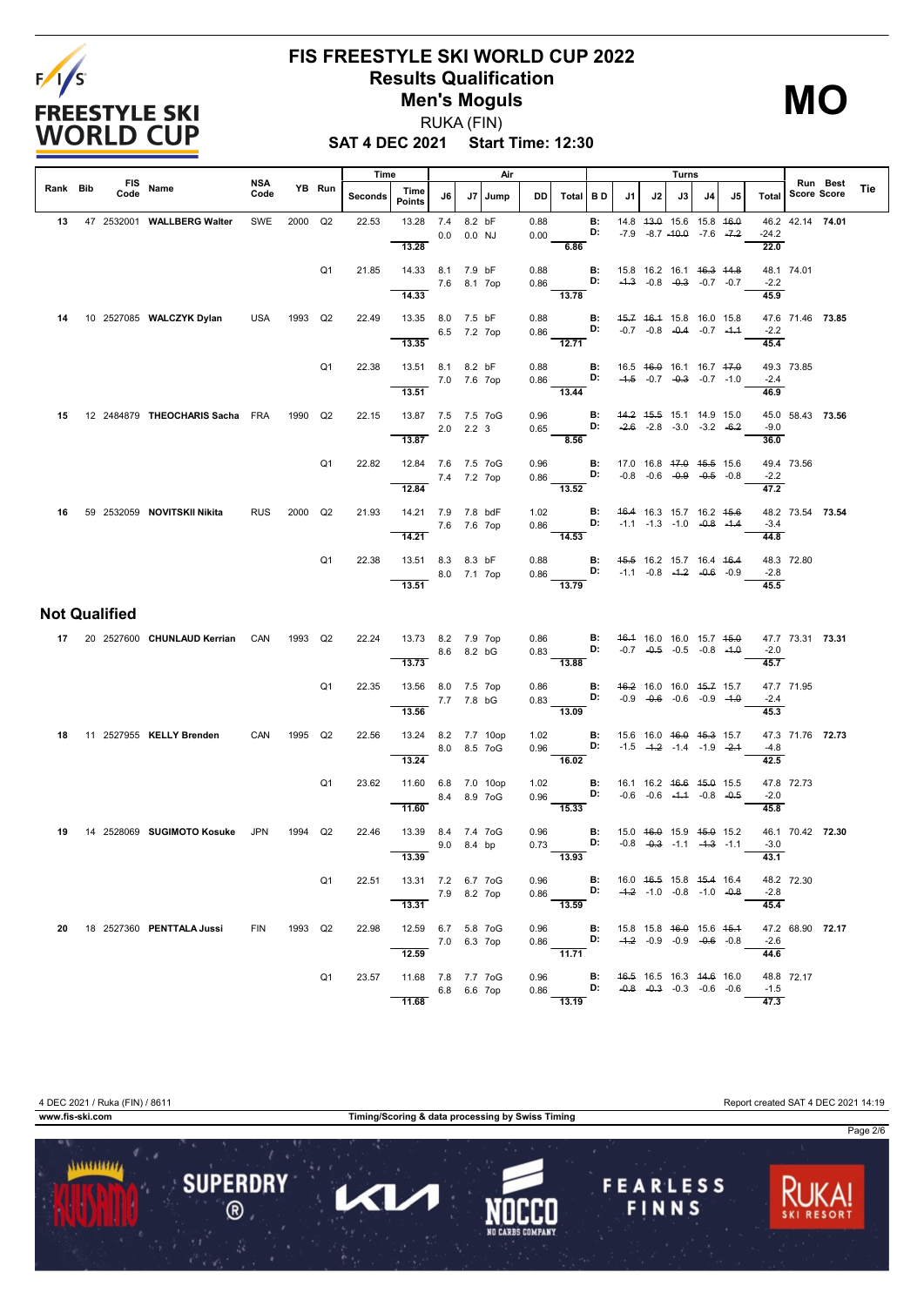

### **FIS FREESTYLE SKI WORLD CUP 2022 Results Qualification Men's Moguls**

**MO**

**SAT 4 DEC 2021 Start Time: 12:30** RUKA (FIN)

|          |                      |                                 |                    |         |                | Time    |                                                     |               |                    | Air  |              |                                                                                                                 |                 |                                                                          |    | Turns                                                                                |    |    |                 |                  |          |     |
|----------|----------------------|---------------------------------|--------------------|---------|----------------|---------|-----------------------------------------------------|---------------|--------------------|------|--------------|-----------------------------------------------------------------------------------------------------------------|-----------------|--------------------------------------------------------------------------|----|--------------------------------------------------------------------------------------|----|----|-----------------|------------------|----------|-----|
| Rank Bib | Code                 | FIS Name                        | <b>NSA</b><br>Code |         | YB Run         | Seconds | Time<br>Points                                      | J6            | J7                 | Jump | DD.          | Total                                                                                                           | <b>BD</b>       | J1.                                                                      | J2 | J3                                                                                   | J4 | J5 | Total           | Score Score      | Run Best | Tie |
| 13       |                      | 47 2532001 WALLBERG Walter      | SWE                | 2000    | Q2             | 22.53   | 13.28<br>13.28                                      | 7.4<br>0.0    | 8.2 bF<br>$0.0$ NJ |      | 0.88<br>0.00 | 6.86                                                                                                            | В:<br>D:        |                                                                          |    | 14.8 43.0 15.6 15.8 46.0<br>$-7.9$ $-8.7$ $-40.0$ $-7.6$ $-7.2$                      |    |    | $-24.2$<br>22.0 | 46.2 42.14 74.01 |          |     |
|          |                      |                                 |                    |         | Q <sub>1</sub> | 21.85   | 14.33 8.1 7.9 bF<br>14.33                           | 7.6 8.1 7op   |                    |      | 0.88<br>0.86 | 13.78                                                                                                           | В:<br>D:        | 15.8 16.2 16.1 46.3 44.8                                                 |    | $-4.3$ $-0.8$ $-0.3$ $-0.7$ $-0.7$                                                   |    |    | $-2.2$<br>45.9  | 48.1 74.01       |          |     |
| 14       |                      | 10 2527085 WALCZYK Dylan        | <b>USA</b>         | 1993    | Q2             | 22.49   | 13.35 8.0 7.5 bF<br>13.35                           | 6.5 7.2 7op   |                    |      | 0.88<br>0.86 | 12.71                                                                                                           | В:<br>D:        | 45.7 46.4 15.8 16.0 15.8                                                 |    | $-0.7$ $-0.8$ $-0.4$ $-0.7$ $-4.4$                                                   |    |    | $-2.2$<br>45.4  | 47.6 71.46 73.85 |          |     |
|          |                      |                                 |                    |         | Q <sub>1</sub> | 22.38   | 13.51 8.1 8.2 bF<br>7.0 7.6 7op<br>13.51            |               |                    |      | 0.88<br>0.86 | $\overline{13.44}$                                                                                              | В:<br>D:        |                                                                          |    | 16.5 46.0 16.1 16.7 47.0<br>$-4.5$ $-0.7$ $-0.3$ $-0.7$ $-1.0$                       |    |    | $-2.4$<br>46.9  | 49.3 73.85       |          |     |
| 15       |                      | 12 2484879 THEOCHARIS Sacha FRA |                    | 1990    | Q2             | 22.15   | 13.87 7.5 7.5 7oG<br>13.87                          | $2.0$ $2.2$ 3 |                    |      | 0.96<br>0.65 | D:<br>$-8.56$                                                                                                   | <b>B:</b>       |                                                                          |    | 44.2 45.5 15.1 14.9 15.0<br>$-2.6$ $-2.8$ $-3.0$ $-3.2$ $-6.2$                       |    |    | $-9.0$<br>36.0  | 45.0 58.43 73.56 |          |     |
|          |                      |                                 |                    |         | Q <sub>1</sub> | 22.82   | 12.84 7.6 7.5 7oG<br>12.84                          | 7.4 7.2 7op   |                    |      | 0.96         | $0.86$ D:<br>13.52                                                                                              |                 | <b>B:</b> 17.0 16.8 47.0 45.5 15.6                                       |    | $-0.8$ $-0.6$ $-0.9$ $-0.5$ $-0.8$                                                   |    |    | $-2.2$<br>47.2  | 49.4 73.56       |          |     |
| 16       |                      | 59 2532059 NOVITSKII Nikita     | <b>RUS</b>         | 2000 Q2 |                | 21.93   | 14.21 7.9 7.8 bdF<br>14.21                          | 7.6 7.6 7op   |                    |      | 1.02<br>0.86 | $\frac{1}{14.53}$                                                                                               | D:              | <b>B:</b> 46.4 16.3 15.7 16.2 45.6                                       |    | $-1.1$ $-1.3$ $-1.0$ $-0.8$ $-1.4$                                                   |    |    | $-3.4$<br>44.8  | 48.2 73.54 73.54 |          |     |
|          |                      |                                 |                    |         | Q <sub>1</sub> | 22.38   | 13.51 8.3 8.3 bF<br>13.51                           | 8.0 7.1 7op   |                    |      | 0.88<br>0.86 | 13.79                                                                                                           | В:              | 45.5 16.2 15.7 16.4 46.4<br><b>D:</b> $-1.1$ $-0.8$ $-4.2$ $-0.6$ $-0.9$ |    |                                                                                      |    |    | $-2.8$<br>45.5  | 48.3 72.80       |          |     |
|          | <b>Not Qualified</b> |                                 |                    |         |                |         |                                                     |               |                    |      |              |                                                                                                                 |                 |                                                                          |    |                                                                                      |    |    |                 |                  |          |     |
|          |                      | 17 20 2527600 CHUNLAUD Kerrian  | CAN                | 1993    | Q2             | 22.24   | 13.73 8.2 7.9 7op<br>13.73                          | 8.6 8.2 bG    |                    |      | 0.86         | $0.83$ D:<br>$\frac{3.38}{13.88}$                                                                               | <b>B:</b>       |                                                                          |    | 46.4 16.0 16.0 15.7 45.0<br>$-0.7$ $-0.5$ $-0.5$ $-0.8$ $-4.0$                       |    |    | $-2.0$<br>45.7  | 47.7 73.31 73.31 |          |     |
|          |                      |                                 |                    |         | Q <sub>1</sub> | 22.35   | 13.56 8.0 7.5 7op<br>13.56                          | 7.7 7.8 bG    |                    |      | 0.86<br>0.83 | $D:$ $\Box$<br>$\frac{1}{13.09}$                                                                                | <b>B:</b>       |                                                                          |    | 46.2 16.0 16.0 45.7 15.7<br>$-0.9$ $-0.6$ $-0.6$ $-0.9$ $-4.0$                       |    |    | $-2.4$<br>45.3  | 47.7 71.95       |          |     |
| 18       |                      | 11 2527955 KELLY Brenden        | CAN                | 1995    | Q2             | 22.56   | 13.24 8.2 7.7 10op<br>13.24                         | 8.0 8.5 7oG   |                    |      | 1.02<br>0.96 | 16.02                                                                                                           | <b>B:</b><br>D: |                                                                          |    | 15.6 16.0 <del>16.0</del> <del>15.3</del> 15.7<br>$-1.5$ $-4.2$ $-1.4$ $-1.9$ $-2.4$ |    |    | $-4.8$<br>42.5  | 47.3 71.76 72.73 |          |     |
|          |                      |                                 |                    |         | Q <sub>1</sub> | 23.62   | 11.60 6.8 7.0 10op<br>11.60                         | 8.4 8.9 7 oG  |                    |      | 1.02<br>0.96 | $\overline{15.33}$                                                                                              | В:<br>D:        |                                                                          |    | 16.1 16.2 <del>16.6</del> <del>15.0</del> 15.5<br>$-0.6$ $-0.6$ $-4.4$ $-0.8$ $-0.5$ |    |    | $-2.0$<br>45.8  | 47.8 72.73       |          |     |
| 19       |                      | 14 2528069 SUGIMOTO Kosuke      | JPN                | 1994    | Q2             | 22.46   | 13.39 8.4 7.4 7oG<br>13.39                          | 9.0 8.4 bp    |                    |      | 0.96<br>0.73 | D:<br>13.93                                                                                                     | В:              |                                                                          |    | 15.0 46.0 15.9 45.0 15.2<br>$-0.8$ $-0.3$ $-1.1$ $-4.3$ $-1.1$                       |    |    | $-3.0$<br>43.1  | 46.1 70.42 72.30 |          |     |
|          |                      |                                 |                    |         | Q1             | 22.51   | 13.31 7.2 6.7 7oG<br>7.9 8.2 7op<br>13.31           |               |                    |      |              | 0.96 <b>B</b> : 16.0 4 <del>8.5</del> 15.8 45.4 16.4<br>0.86 <b>B</b> : $-4.2$ -1.0 -0.8 -1.0 -0.8              |                 |                                                                          |    |                                                                                      |    |    | $-2.8$<br>45.4  | 48.2 72.30       |          |     |
| 20       |                      |                                 | FIN 1993 Q2        |         |                |         | 22.98  12.59  6.7  5.8  7oG<br>7.0 6.3 7op<br>12.59 |               |                    |      |              | 0.96 <b>B:</b> 15.8 15.8 <del>16.0</del> 15.6 <del>15.1</del><br>0.86 <b>D:</b> -1.2 -0.9 -0.9 -0.4 -0.8 -11.71 |                 |                                                                          |    |                                                                                      |    |    | $-2.6$<br>44.6  | 47.2 68.90 72.17 |          |     |
|          |                      |                                 |                    |         | Q1             |         | 23.57  11.68  7.8  7.7  7oG<br>6.8 6.6 7op<br>11.68 |               |                    |      |              | 0.96 <b>B:</b> $\frac{46.5}{0.86}$ 16.5 16.3 $\frac{44.6}{0.86}$ 16.0<br>13.19                                  |                 |                                                                          |    |                                                                                      |    |    | $-1.5$<br>47.3  | 48.8 72.17       |          |     |



4 DEC 2021 / Ruka (FIN) / 8611 Report created SAT 4 DEC 2021 14:19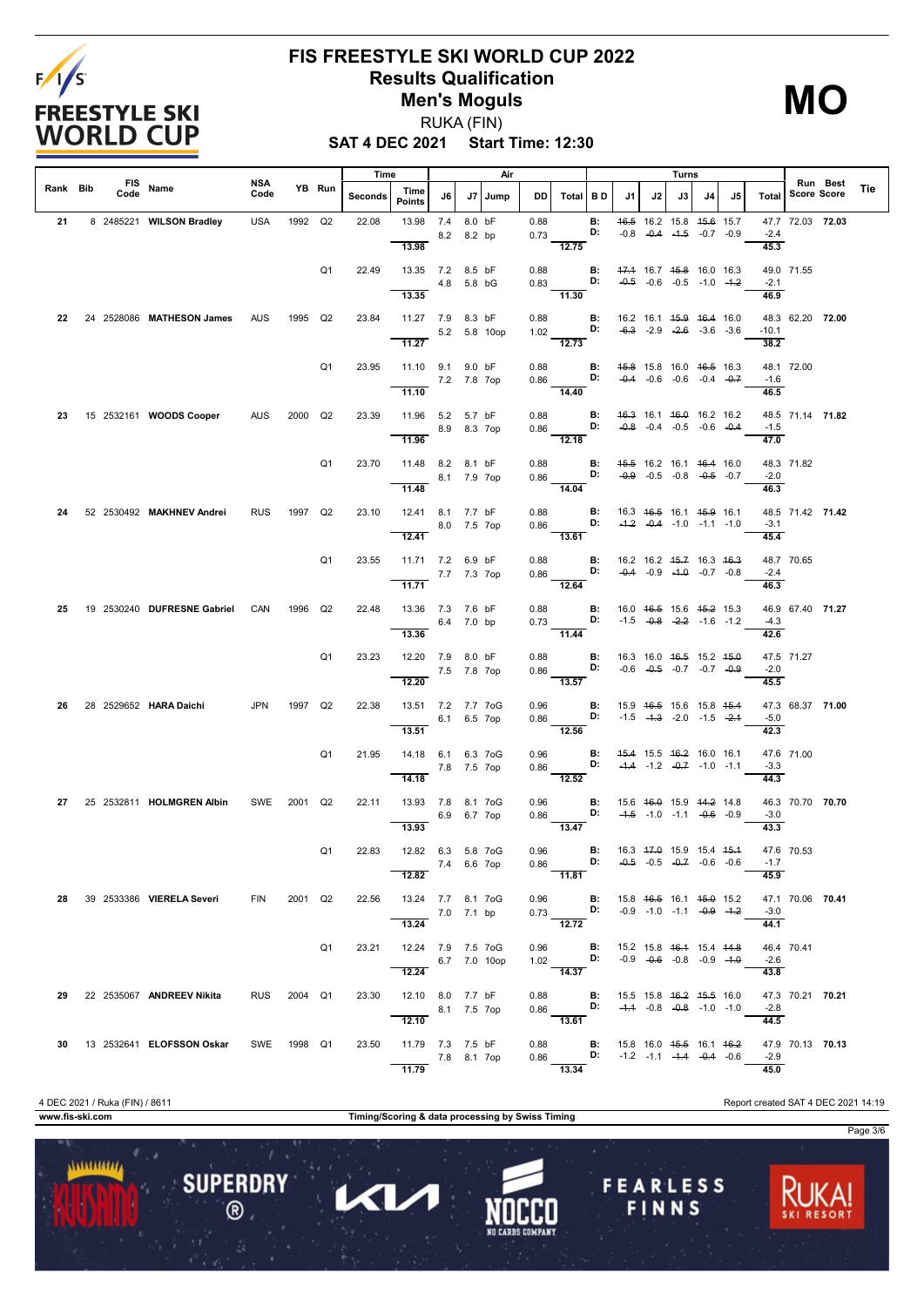

## **FIS FREESTYLE SKI WORLD CUP 2022 Results Qualification Men's Moguls**

**MO**

**SAT 4 DEC 2021 Start Time: 12:30** RUKA (FIN)

|          |      |                               | NSA         |         |                | Time    |                                                      |              |        | Air  |                                      |                                                                                                                                             |                 |                                                |    | Turns                                                                                |    |    |                 |                  | Run Best |     |
|----------|------|-------------------------------|-------------|---------|----------------|---------|------------------------------------------------------|--------------|--------|------|--------------------------------------|---------------------------------------------------------------------------------------------------------------------------------------------|-----------------|------------------------------------------------|----|--------------------------------------------------------------------------------------|----|----|-----------------|------------------|----------|-----|
| Rank Bib | Code | FIS Name                      | Code        |         | YB Run         | Seconds | Time<br><b>Points</b>                                | J6           | J7     | Jump | DD                                   | Total                                                                                                                                       | I B D           | J1                                             | J2 | J3 I                                                                                 | J4 | J5 | <b>Total</b>    | Score Score      |          | Tie |
| 21       |      | 8 2485221 WILSON Bradley      | USA         | 1992 Q2 |                | 22.08   | 13.98 7.4<br>13.98                                   | 8.2 8.2 bp   | 8.0 bF |      | 0.88<br>0.73                         | 12.75                                                                                                                                       | B:<br>D:        |                                                |    | 46.5 16.2 15.8 45.6 15.7<br>$-0.8$ $-0.4$ $-4.5$ $-0.7$ $-0.9$                       |    |    | $-2.4$<br>45.3  | 47.7 72.03 72.03 |          |     |
|          |      |                               |             |         | Q <sub>1</sub> | 22.49   | 13.35 7.2 8.5 bF<br>13.35                            | 4.8 5.8 bG   |        |      | 0.88                                 | $0.83$ D:<br>11.30                                                                                                                          |                 | <b>B:</b> 47.4 16.7 45.8 16.0 16.3             |    | $-0.5$ $-0.6$ $-0.5$ $-1.0$ $-4.2$                                                   |    |    | $-2.1$<br>46.9  | 49.0 71.55       |          |     |
| 22       |      | 24 2528086 MATHESON James AUS |             | 1995 Q2 |                | 23.84   | 11.27 7.9 8.3 bF<br>11.27                            | 5.2 5.8 10op |        |      | 0.88                                 | 1.02 <b>D</b> :<br>$\frac{1}{12.73}$                                                                                                        | B:              | 16.2 16.1 <del>15.9 16.4</del> 16.0            |    | $-6.3$ $-2.9$ $-2.6$ $-3.6$ $-3.6$                                                   |    |    | $-10.1$<br>38.2 | 48.3 62.20 72.00 |          |     |
|          |      |                               |             |         | Q <sub>1</sub> | 23.95   | 11.10 9.1 9.0 bF<br>7.2 7.8 7op<br>11.10             |              |        |      |                                      | 0.88 <b>B:</b> $45.8$ 15.8 16.0 $46.5$ 16.3<br>0.86 <b>D:</b> $-0.4$ $-0.6$ $-0.6$ $-0.4$ $-0.7$<br>14.40                                   |                 |                                                |    |                                                                                      |    |    | $-1.6$<br>46.5  | 48.1 72.00       |          |     |
| 23       |      | 15 2532161 WOODS Cooper       | AUS         | 2000 Q2 |                | 23.39   | 11.96 5.2 5.7 bF<br>11.96                            | 8.9 8.3 7op  |        |      | 0.88                                 | $0.86$ D:<br>$\frac{1}{12.18}$                                                                                                              | В:              | 46.3 16.1 46.0 16.2 16.2                       |    | $-0.8$ $-0.4$ $-0.5$ $-0.6$ $-0.4$                                                   |    |    | $-1.5$<br>47.0  | 48.5 71.14 71.82 |          |     |
|          |      |                               |             |         | Q <sub>1</sub> | 23.70   | 11.48 8.2 8.1 bF<br>8.1 7.9 7op<br>11.48             |              |        |      | 0.88                                 | 0.86 <b>D:</b> $-0.9$ -0.5 -0.8 -0.5 -0.7<br>14.04                                                                                          | B:              | 45.5 16.2 16.1 46.4 16.0                       |    |                                                                                      |    |    | $-2.0$<br>46.3  | 48.3 71.82       |          |     |
| 24       |      | 52 2530492 MAKHNEV Andrei     | <b>RUS</b>  | 1997 Q2 |                | 23.10   | 12.41 8.1 7.7 bF<br>12.41                            | 8.0 7.5 7op  |        |      |                                      | 0.88 <b>B:</b> 16.3 46.5 16.1 45.9 16.1<br>0.86 <b>D:</b> -4.2 -0.4 -1.0 -1.1 -1.0<br>$\overline{13.61}$                                    |                 |                                                |    |                                                                                      |    |    | $-3.1$<br>45.4  | 48.5 71.42 71.42 |          |     |
|          |      |                               |             |         | Q <sub>1</sub> | 23.55   | 11.71 7.2 6.9 bF<br>7.7 7.3 7op<br>11.71             |              |        |      | 0.88                                 | $0.86$ D:<br>$\overline{12.64}$                                                                                                             | B:              | 16.2 16.2 <del>15.7</del> 16.3 <del>16.3</del> |    | $-0.4$ $-0.9$ $-1.0$ $-0.7$ $-0.8$                                                   |    |    | $-2.4$<br>46.3  | 48.7 70.65       |          |     |
| 25       |      | 19 2530240 DUFRESNE Gabriel   | CAN         | 1996 Q2 |                | 22.48   | 13.36 7.3 7.6 bF<br>6.4 7.0 bp<br>13.36              |              |        |      |                                      | 0.88 <b>B</b> : 16.0 <del>16.5</del> 15.6 <del>15.2</del> 15.3<br>0.73 <b>D:</b> -1.5 -0.8 -2.2 -1.6 -1.2<br>$\frac{11.6}{11.44}$           |                 |                                                |    |                                                                                      |    |    | $-4.3$<br>42.6  | 46.9 67.40 71.27 |          |     |
|          |      |                               |             |         | Q <sub>1</sub> | 23.23   | 12.20 7.9 8.0 bF<br>12.20                            | 7.5 7.8 7op  |        |      | 0.88                                 | $0.86$ D:<br>$\overline{13.57}$                                                                                                             | B:              |                                                |    | 16.3 16.0 <del>16.5</del> 15.2 <del>15.0</del><br>$-0.6$ $-0.5$ $-0.7$ $-0.7$ $-0.9$ |    |    | $-2.0$<br>45.5  | 47.5 71.27       |          |     |
| 26       |      | 28 2529652 HARA Daichi        | <b>JPN</b>  | 1997 Q2 |                | 22.38   | 13.51 7.2 7.7 7oG<br>13.51                           | 6.1 6.5 7op  |        |      | 0.86                                 | 0.96 B: 15.9 46.5 15.6 15.8 45.4<br><b>D:</b> $-1.5$ $-4.3$ $-2.0$ $-1.5$ $-2.4$<br>$-12.56$                                                |                 |                                                |    |                                                                                      |    |    | $-5.0$<br>42.3  | 47.3 68.37 71.00 |          |     |
|          |      |                               |             |         | Q <sub>1</sub> | 21.95   | 14.18  6.1  6.3  7oG<br>14.18                        | 7.8 7.5 7op  |        |      |                                      | 0.96 <b>B:</b> 45.4 15.5 46.2 16.0 16.1<br>0.86 <b>D:</b> -4.4 -1.2 -0.7 -1.0 -1.1<br>12.52                                                 |                 |                                                |    |                                                                                      |    |    | $-3.3$<br>44.3  | 47.6 71.00       |          |     |
| 27       |      | 25 2532811 HOLMGREN Albin     | SWE 2001 Q2 |         |                | 22.11   | 13.93 7.8 8.1 7oG<br>13.93                           | 6.9 6.7 7op  |        |      | 0.96                                 | 0.86<br>$\overline{13.47}$                                                                                                                  | B:<br>D:        | 15.6 46.0 15.9 44.2 14.8                       |    | $-4.5$ $-1.0$ $-1.1$ $-0.6$ $-0.9$                                                   |    |    | $-3.0$<br>43.3  | 46.3 70.70 70.70 |          |     |
|          |      |                               |             |         | Q <sub>1</sub> | 22.83   | 12.82  6.3  5.8  7oG<br>12.82                        | 7.4 6.6 7op  |        |      | 0.96<br>$0.86$ $\frac{11.81}{11.81}$ |                                                                                                                                             | <b>B:</b><br>D: | 16.3 47.0 15.9 15.4 45.4                       |    | $-0.5$ $-0.5$ $-0.7$ $-0.6$ $-0.6$                                                   |    |    | $-1.7$<br>45.9  | 47.6 70.53       |          |     |
|          |      | 28 39 2533386 VIERELA Severi  | <b>FIN</b>  | 2001 Q2 |                | 22.56   | 13.24 7.7 8.1 7oG<br>$7.0$ 7.1 bp<br>13.24           |              |        |      |                                      | 0.96 <b>B:</b> 15.8 46.5 16.1 45.0 15.2<br>0.73 <b>D:</b> -0.9 -1.0 -1.1 -0.9 $-4.2$<br>12.72                                               |                 |                                                |    |                                                                                      |    |    | $-3.0$<br>44.1  | 47.1 70.06 70.41 |          |     |
|          |      |                               |             |         | Q1             |         | 23.21  12.24  7.9  7.5  7oG<br>6.7 7.0 10op<br>12.24 |              |        |      |                                      | 0.96 <b>B</b> : 15.2 15.8 <del>16.1</del> 15.4 14.8<br>1.02 <b>D</b> : -0.9 -0.6 -0.8 -0.9 -1.0<br>14.37                                    |                 |                                                |    |                                                                                      |    |    | $-2.6$<br>43.8  | 46.4 70.41       |          |     |
|          |      | 29 22 2535067 ANDREEV Nikita  | RUS 2004 Q1 |         |                | 23.30   | 12.10 8.0 7.7 bF<br>8.1 7.5 7op                      |              |        |      |                                      | 0.88 <b>B</b> : 15.5 15.8 <del>16.2</del> 15.5 16.0<br>0.86 <b>D:</b> -4.4 -0.8 -0.8 -1.0 -1.0<br>13.61                                     |                 |                                                |    |                                                                                      |    |    | $-2.8$<br>44.5  | 47.3 70.21 70.21 |          |     |
|          |      | 30 13 2532641 ELOFSSON Oskar  | SWE 1998 Q1 |         |                | 23.50   | 11.79 7.3 7.5 bF<br>7.8 8.1 7op<br>11.79             |              |        |      |                                      | 0.88 <b>B</b> : 15.8 16.0 <del>15.5</del> 16.1 <del>16.2</del><br>0.86 <b>D:</b> -1.2 -1.1 - <del>1.4</del> -0.4 -0.6<br>$\overline{13.34}$ |                 |                                                |    |                                                                                      |    |    | $-2.9$<br>45.0  | 47.9 70.13 70.13 |          |     |

**www.fis-ski.com Timing/Scoring & data processing by Swiss Timing**

Π

 $\blacktriangleleft$ 

**SUPERDRY** 

 $\circledR$ 

 $11111111111$ 

**FEARLESS** 

FINNS

Page 3/6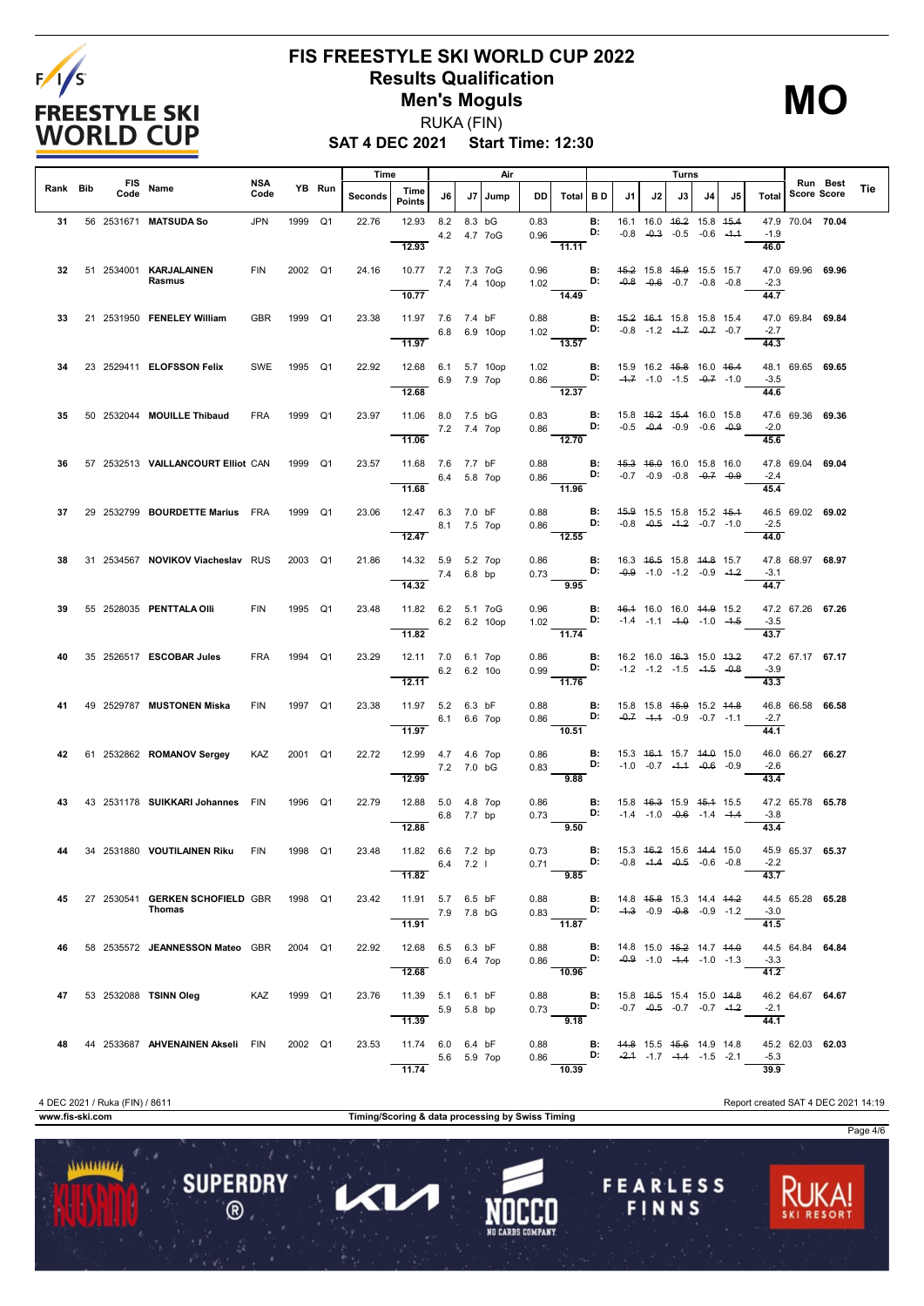

#### **FIS FREESTYLE SKI WORLD CUP 2022 Results Qualification Men's Moguls** RUKA (FIN)

**MO**

**SAT 4 DEC 2021 Start Time: 12:30**

|          |      |                                                   | NSA        |         |        | Time    |                                          |             |        | Air             |                                 |                                                                                                             |                                                |    |    | Turns                                                                                |    |    |                        |                   | Run Best         |     |
|----------|------|---------------------------------------------------|------------|---------|--------|---------|------------------------------------------|-------------|--------|-----------------|---------------------------------|-------------------------------------------------------------------------------------------------------------|------------------------------------------------|----|----|--------------------------------------------------------------------------------------|----|----|------------------------|-------------------|------------------|-----|
| Rank Bib | Code | FIS Name                                          | Code       |         | YB Run | Seconds | Time<br><b>Points</b>                    | J6          | J7     | Jump            | DD.                             | Total BD                                                                                                    |                                                | J1 | J2 | J3                                                                                   | J4 | J5 |                        | Total Score Score |                  | Tie |
| 31       |      | 56 2531671 MATSUDA So                             | <b>JPN</b> | 1999 Q1 |        | 22.76   | 12.93<br>12.93                           | 8.2         | 8.3 bG | 4.2  4.7  7 o G | 0.83<br>0.96                    | 11.11                                                                                                       | <b>B:</b><br>D:                                |    |    | 16.1 16.0 46.2 15.8 45.4<br>$-0.8$ $-0.3$ $-0.5$ $-0.6$ $-4.4$                       |    |    | $-1.9$<br>46.0         |                   | 47.9 70.04 70.04 |     |
|          |      | 32 51 2534001 KARJALAINEN<br>Rasmus               | <b>FIN</b> | 2002 Q1 |        | 24.16   | 10.77 7.2 7.3 7oG<br>10.77               |             |        | 7.4 7.4 10op    | 0.96<br>1.02                    | D:<br>14.49                                                                                                 | <b>B:</b>                                      |    |    | 45.2 15.8 45.9 15.5 15.7<br>$-0.8$ $-0.6$ $-0.7$ $-0.8$ $-0.8$                       |    |    | $-2.3$<br>44.7         |                   | 47.0 69.96 69.96 |     |
| 33       |      | 21 2531950 FENELEY William                        | <b>GBR</b> | 1999 Q1 |        | 23.38   | 11.97 7.6 7.4 bF<br>11.97                |             |        | 6.8 6.9 10op    | 0.88                            | $1.02$ D:<br>13.57                                                                                          | <b>B:</b>                                      |    |    | 45.2 46.4 15.8 15.8 15.4<br>$-0.8$ $-1.2$ $-1.7$ $-0.7$ $-0.7$                       |    |    | $-2.7$<br>44.3         | 47.0 69.84 69.84  |                  |     |
| 34       |      | 23 2529411 ELOFSSON Felix                         | SWE        | 1995 Q1 |        | 22.92   | 12.68 6.1 5.7 10op<br>12.68              | 6.9 7.9 7op |        |                 | 1.02                            | 0.86 <b>D:</b> $-4.7$ $-1.0$ $-1.5$ $-0.7$ $-1.0$<br>$\overline{12.37}$                                     | B:                                             |    |    | 15.9 16.2 <del>15.8</del> 16.0 <del>16.4</del>                                       |    |    | $-3.5$<br>44.6         |                   | 48.1 69.65 69.65 |     |
| 35       |      | 50 2532044 MOUILLE Thibaud                        | <b>FRA</b> | 1999 Q1 |        | 23.97   | 11.06 8.0 7.5 bG<br>11.06                | 7.2 7.4 7op |        |                 | 0.83<br>0.86                    | D:<br>12.70                                                                                                 | B:                                             |    |    | 15.8 46.2 45.4 16.0 15.8<br>$-0.5$ $-0.4$ $-0.9$ $-0.6$ $-0.9$                       |    |    | $-2.0$<br>45.6         |                   | 47.6 69.36 69.36 |     |
| 36       |      | 57 2532513 VAILLANCOURT Elliot CAN                |            | 1999 Q1 |        | 23.57   | 11.68 7.6 7.7 bF<br>11.68                | 6.4 5.8 7op |        |                 | 0.88                            | 0.86 <b>D:</b> $-0.7$ $-0.9$ $-0.8$ $-0.7$ $-0.9$                                                           | B:                                             |    |    | 45.3 46.0 16.0 15.8 16.0                                                             |    |    | $-2.4$                 | 47.8 69.04 69.04  |                  |     |
| 37       |      | 29 2532799 BOURDETTE Marius FRA                   |            | 1999 Q1 |        | 23.06   | 12.47 6.3 7.0 bF<br>12.47                | 8.1 7.5 7op |        |                 | 0.88<br>0.86<br><b>Contract</b> | 11.96<br><b>D:</b> $-0.8$ $-0.5$ $-4.2$ $-0.7$ $-1.0$<br>12.55                                              | <b>B:</b> 45.9 15.5 15.8 15.2 45.4             |    |    |                                                                                      |    |    | 45.4<br>$-2.5$<br>44.0 |                   | 46.5 69.02 69.02 |     |
| 38       |      | 31 2534567 NOVIKOV Viacheslav RUS                 |            | 2003 Q1 |        | 21.86   | 14.32 5.9 5.2 7op<br>7.4 6.8 bp<br>14.32 |             |        |                 | 0.86<br>0.73                    | 9.95                                                                                                        | B:<br>D:                                       |    |    | 16.3 <del>16.5</del> 15.8 <del>14.8</del> 15.7<br>$-0.9$ $-1.0$ $-1.2$ $-0.9$ $-1.2$ |    |    | $-3.1$<br>44.7         | 47.8 68.97 68.97  |                  |     |
| 39       |      | 55 2528035 PENTTALA OIII                          | <b>FIN</b> | 1995 Q1 |        | 23.48   | 11.82 6.2 5.1 7oG<br>6.2 6.2 10op        |             |        |                 | 0.96                            | 1.02 <b>D:</b> $-1.4$ $-1.1$ $-1.0$ $-1.5$<br>$-11.74$                                                      | $\blacksquare$                                 |    |    | <del>16.1</del> 16.0 16.0 <del>14.9</del> 15.2                                       |    |    | $-3.5$<br>43.7         | 47.2 67.26 67.26  |                  |     |
| 40       |      | 35 2526517 ESCOBAR Jules                          | <b>FRA</b> | 1994 Q1 |        | 23.29   | 11.82<br>12.11 7.0 6.1 7op               | 6.2 6.2 10o |        |                 | 0.86<br>0.99                    | D:                                                                                                          | <b>B:</b>                                      |    |    | 16.2 16.0 <del>16.3</del> 15.0 <del>13.2</del><br>$-1.2$ $-1.2$ $-1.5$ $-4.5$ $-0.8$ |    |    | $-3.9$                 |                   | 47.2 67.17 67.17 |     |
| 41       |      | 49 2529787 MUSTONEN Miska                         | <b>FIN</b> | 1997 Q1 |        | 23.38   | 12.11<br>11.97 5.2 6.3 bF<br>11.97       | 6.1 6.6 7op |        |                 | 0.88<br>0.86                    | $-11.76$<br><b>D:</b> $-0.7$ $-4.4$ $-0.9$ $-0.7$ $-1.1$<br>$-10.51$                                        | <b>B:</b> 15.8 15.8 4 <del>5.9</del> 15.2 44.8 |    |    |                                                                                      |    |    | 43.3<br>$-2.7$<br>44.1 | 46.8 66.58 66.58  |                  |     |
| 42       |      | 61 2532862 ROMANOV Sergey                         | KAZ        | 2001 Q1 |        | 22.72   | 12.99  4.7  4.6  7op<br>12.99            | 7.2 7.0 bG  |        |                 | 0.86<br>0.83                    | <b>D:</b> $-1.0$ $-0.7$ $-4.4$ $-0.6$ $-0.9$<br>9.88                                                        | <b>B:</b> 15.3 46.4 15.7 44.0 15.0             |    |    |                                                                                      |    |    | $-2.6$<br>43.4         |                   | 46.0 66.27 66.27 |     |
| 43       |      | 43 2531178 SUIKKARI Johannes FIN                  |            | 1996 Q1 |        | 22.79   | 12.88 5.0 4.8 7op<br>12.88               | 6.8 7.7 bp  |        |                 | 0.86<br>0.73                    | 9.50                                                                                                        | B:<br>D:                                       |    |    | 15.8 <del>16.3</del> 15.9 <del>15.1</del> 15.5<br>$-1.4$ $-1.0$ $-0.6$ $-1.4$ $-1.4$ |    |    | $-3.8$<br>43.4         |                   | 47.2 65.78 65.78 |     |
|          |      | 34 2531880 VOUTILAINEN Riku                       | FIN        | 1998 Q1 |        | 23.48   | 11.82 6.6 7.2 bp<br>11.82                | $6.4$ 7.2 l |        |                 | 0.73<br>$0.71$ —                | 9.85                                                                                                        | <b>B:</b><br>D:                                |    |    | 15.3 46.2 15.6 44.4 15.0<br>$-0.8$ $-4.4$ $-0.5$ $-0.6$ $-0.8$                       |    |    | $-2.2$<br>43.7         | 45.9 65.37 65.37  |                  |     |
| 45       |      | 27 2530541 GERKEN SCHOFIELD GBR 1998 Q1<br>Thomas |            |         |        | 23.42   | 11.91 5.7 6.5 bF<br>7.9 7.8 bG<br>11.91  |             |        |                 |                                 | 0.88 <b>B</b> : 14.8 4 <del>5.8</del> 15.3 14.4 44.2<br>0.83 <b>D:</b> -4.3 -0.9 -0.8 -0.9 -1.2<br>$-11.87$ |                                                |    |    |                                                                                      |    |    | $-3.0$<br>41.5         | 44.5 65.28 65.28  |                  |     |
| 46       |      | 58 2535572 JEANNESSON Mateo GBR 2004 Q1           |            |         |        | 22.92   | 12.68 6.5 6.3 bF<br>12.68                | 6.0 6.4 7op |        |                 |                                 | 0.88 B: 14.8 15.0 45.2 14.7 44.0<br>0.86<br>$-10.96$                                                        |                                                |    |    | <b>D:</b> $-0.9 -1.0 -1.4 -1.0 -1.3$                                                 |    |    | $-3.3$<br>41.2         | 44.5 64.84 64.84  |                  |     |
| 47       |      | 53 2532088 TSINN Oleg                             | KAZ        | 1999 Q1 |        | 23.76   | 11.39 5.1 6.1 bF<br>11.39                | 5.9 5.8 bp  |        |                 | 0.88                            | 0.73 $D:$ $-0.7$ $-0.5$ $-0.7$ $-0.7$ $-4.2$<br>9.18                                                        |                                                |    |    | <b>B:</b> 15.8 46.5 15.4 15.0 44.8                                                   |    |    | $-2.1$<br>44.1         | 46.2 64.67 64.67  |                  |     |
| 48       |      | 44 2533687 AHVENAINEN Akseli FIN                  |            | 2002 Q1 |        | 23.53   | 11.74 6.0 6.4 bF<br>11.74                | 5.6 5.9 7op |        |                 | 0.86                            | 0.88 <b>B:</b> 44.8 15.5 45.6 14.9 14.8<br>10.39                                                            |                                                |    |    | D: $-2.4$ $-1.7$ $-4.4$ $-1.5$ $-2.1$                                                |    |    | $-5.3$<br>39.9         |                   | 45.2 62.03 62.03 |     |

**FEARLESS** 

FINNS

Page 4/6

**www.fis-ski.com Timing/Scoring & data processing by Swiss Timing**

Π

 $\blacktriangleleft$ 

**SUPERDRY** 

 $\circledR$ 

 $11111111111$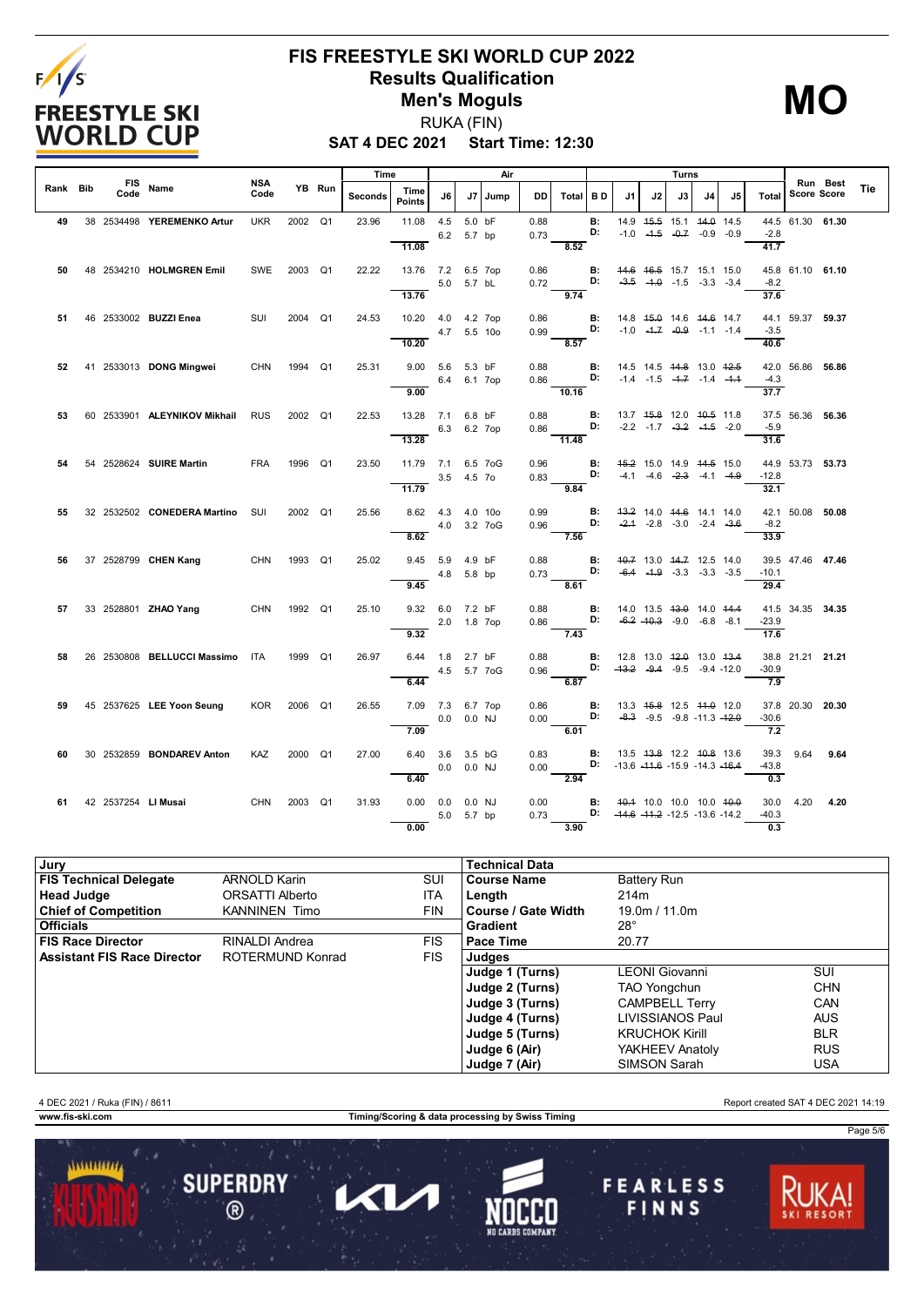

# **FIS FREESTYLE SKI WORLD CUP 2022 Results Qualification Men's Moguls**

# **MO**

**SAT 4 DEC 2021 Start Time: 12:30** RUKA (FIN)

|          |                    |                                  |                    |         |        | Time    |                                    |                          | Air     |                                                             |                                                        |                 |    |    | Turns |                                                                                             |    |                             |                     |          |     |
|----------|--------------------|----------------------------------|--------------------|---------|--------|---------|------------------------------------|--------------------------|---------|-------------------------------------------------------------|--------------------------------------------------------|-----------------|----|----|-------|---------------------------------------------------------------------------------------------|----|-----------------------------|---------------------|----------|-----|
| Rank Bib | <b>FIS</b><br>Code | Name                             | <b>NSA</b><br>Code |         | YB Run | Seconds | Time<br><b>Points</b>              | J6                       | J7 Jump | <b>DD</b>                                                   | Total BD                                               |                 | J1 | J2 | J3    | J4                                                                                          | J5 |                             | Total   Score Score | Run Best | Tie |
| 49       |                    | 38 2534498 YEREMENKO Artur       | <b>UKR</b>         | 2002 Q1 |        | 23.96   | 11.08                              | 4.5 5.0 bF<br>6.2 5.7 bp |         | 0.88<br>0.73                                                |                                                        | <b>B:</b><br>D: |    |    |       | 14.9   45.5   15.1   44.0   14.5<br>$-1.0$ $-4.5$ $-0.7$ $-0.9$ $-0.9$                      |    | $-2.8$                      | 44.5 61.30 61.30    |          |     |
| 50       |                    | 48 2534210 HOLMGREN Emil         | SWE 2003 Q1        |         |        | 22.22   | 11.08<br>13.76 7.2 6.5 7op         |                          |         | 0.86<br>0.72 <b>D:</b> $-3.5$ -1.0 -1.5 -3.3 -3.4           | 8.52                                                   |                 |    |    |       | <b>B:</b> 44.6 46.5 15.7 15.1 15.0                                                          |    | 41.7<br>$-8.2$              | 45.8 61.10 61.10    |          |     |
|          |                    |                                  |                    |         |        |         | 13.76                              | 5.0 5.7 bL               |         |                                                             | 9.74                                                   |                 |    |    |       |                                                                                             |    | 37.6                        |                     |          |     |
| 51       |                    | 46 2533002 <b>BUZZI Enea</b>     | SUI                | 2004 Q1 |        | 24.53   | 10.20 4.0 4.2 7op<br>10.20         | 4.7 5.5 10o              |         | 0.86<br>0.99                                                | <b>D:</b> $-1.0$ $-1.7$ $-0.9$ $-1.1$ $-1.4$<br>8.57   | $\blacksquare$  |    |    |       | 14.8 <del>15.0</del> 14.6 <del>14.6</del> 14.7                                              |    | $-3.5$<br>40.6              | 44.1 59.37 59.37    |          |     |
| 52       |                    | 41 2533013 DONG Mingwei          | <b>CHN</b>         | 1994 Q1 |        | 25.31   | $9.00$ 5.6 5.3 bF                  | 6.4 6.1 7op              |         | 0.88<br>$0.86$ D:<br>$rac{0.05}{10.16}$                     |                                                        | B:              |    |    |       | 14.5 14.5 <del>14.8</del> 13.0 <del>12.5</del><br>$-1.4$ $-1.5$ $-4.7$ $-1.4$ $-4.4$        |    | $-4.3$<br>37.7              | 42.0 56.86 56.86    |          |     |
| 53       |                    | 60 2533901 ALEYNIKOV Mikhail     | <b>RUS</b>         | 2002 Q1 |        | 22.53   | 9.00<br>13.28 7.1 6.8 bF           | 6.3 6.2 7op              |         | 0.88<br>0.86 D: -2.2 -1.7 -3.2 -1.5 -2.0                    |                                                        |                 |    |    |       | <b>B:</b> 13.7 45.8 12.0 40.5 11.8                                                          |    | $-5.9$                      | 37.5 56.36 56.36    |          |     |
|          |                    |                                  |                    |         |        |         | 13.28                              |                          |         |                                                             | 11.48                                                  |                 |    |    |       |                                                                                             |    | 31.6                        |                     |          |     |
|          |                    | 54 2528624 SUIRE Martin          | <b>FRA</b>         | 1996 Q1 |        | 23.50   | 11.79 7.1 6.5 7oG<br>11.79         | 3.5 4.5 7o               |         | 0.96<br>0.83                                                | <b>D:</b> $-4.1$ $-4.6$ $-2.3$ $-4.1$ $-4.9$<br>9.84   |                 |    |    |       | <b>B:</b> 45.2 15.0 14.9 44.5 15.0                                                          |    | $-12.8$<br>32.1             | 44.9 53.73 53.73    |          |     |
| 55       |                    | 32 2532502 CONEDERA Martino SUI  |                    | 2002 Q1 |        | 25.56   | 8.62 4.3 4.0 10o<br>8.62           | 4.0 3.2 7 o G            |         | 0.99<br>0.96                                                | <b>D:</b> $-2.4$ $-2.8$ $-3.0$ $-2.4$ $-3.6$<br>7.56   | B:              |    |    |       | 43.2 14.0 44.6 14.1 14.0                                                                    |    | $-8.2$<br>33.9              | 42.1 50.08 50.08    |          |     |
| 56       |                    | 37 2528799 CHEN Kang             | CHN                | 1993 Q1 |        | 25.02   | 9.45 5.9 4.9 bF<br>9.45            | 4.8 5.8 bp               |         | 0.88<br>$0.73$ D:                                           | $\frac{1}{8.61}$                                       |                 |    |    |       | <b>B:</b> 40.7 13.0 44.7 12.5 14.0<br>$-6.4$ $-4.9$ $-3.3$ $-3.3$ $-3.5$                    |    | $-10.1$<br>29.4             | 39.5 47.46 47.46    |          |     |
| 57       |                    | 33 2528801 <b>ZHAO Yang</b>      | <b>CHN</b>         | 1992 Q1 |        | 25.10   | 9.32 6.0 7.2 bF                    | 2.0 1.8 7op              |         | 0.88<br>0.86 <b>D:</b> $-6.2$ $-10.3$ $-9.0$ $-6.8$ $-8.1$  |                                                        |                 |    |    |       | <b>B</b> : 14.0 13.5 <del>13.0</del> 14.0 <del>14.4</del>                                   |    | $-23.9$                     | 41.5 34.35 34.35    |          |     |
| 58       |                    | 26 2530808 BELLUCCI Massimo ITA  |                    | 1999 Q1 |        | 26.97   | 9.32<br>6.44 1.8 2.7 bF            | 4.5 5.7 7 oG             |         | 0.88<br>0.96                                                | 7.43<br><b>D:</b> $-43.2$ $-9.4$ $-9.5$ $-9.4$ $-12.0$ |                 |    |    |       | <b>B:</b> 12.8 13.0 <del>12.0</del> 13.0 <del>13.4</del>                                    |    | 17.6<br>$-30.9$             | 38.8 21.21 21.21    |          |     |
| 59       |                    | 45 2537625 LEE Yoon Seung        | <b>KOR</b>         | 2006 Q1 |        | 26.55   | 6.44<br>7.09 7.3 6.7 7op<br>7.09   | $0.0$ 0.0 NJ             |         | 0.86<br>0.00 <b>D:</b> $-8.3$ $-9.5$ $-9.8$ $-11.3$ $-12.0$ | 6.87<br>$-6.01$                                        | $\blacksquare$  |    |    |       | 13.3 45.8 12.5 44.0 12.0                                                                    |    | 7.9<br>$-30.6$<br>7.2       | 37.8 20.30 20.30    |          |     |
| 60.      |                    | 30 2532859 <b>BONDAREV Anton</b> | <b>KAZ</b>         | 2000 Q1 |        | 27.00   | 6.40 3.6 3.5 bG<br>6.40            | $0.0$ $0.0$ NJ           |         | 0.83<br>0.00 D: $-13.6 -11.6 -15.9 -14.3 -16.4$             | $\overline{2.94}$                                      |                 |    |    |       | <b>B:</b> 13.5 43.8 12.2 40.8 13.6                                                          |    | $-43.8$<br>0.3              | 39.3 9.64 9.64      |          |     |
|          |                    | 61 42 2537254 LIMusai            | CHN                | 2003 Q1 |        | 31.93   | $0.00 \t 0.0 \t 0.0 \t NJ$<br>0.00 | 5.0 5.7 bp               |         | 0.00<br>0.73                                                | 3.90                                                   |                 |    |    |       | <b>B:</b> 40.4 10.0 10.0 10.0 <del>10.0</del><br>D: $-44.6$ $-44.2$ $-12.5$ $-13.6$ $-14.2$ |    | $-40.3$<br>$\overline{0.3}$ | 30.0 4.20 4.20      |          |     |

| Jury                               |                      |            | <b>Technical Data</b> |                       |            |
|------------------------------------|----------------------|------------|-----------------------|-----------------------|------------|
| <b>FIS Technical Delegate</b>      | <b>ARNOLD Karin</b>  | SUI        | <b>Course Name</b>    | <b>Battery Run</b>    |            |
| <b>Head Judge</b>                  | ORSATTI Alberto      | <b>ITA</b> | Length                | 214m                  |            |
| <b>Chief of Competition</b>        | <b>KANNINEN Timo</b> | <b>FIN</b> | Course / Gate Width   | 19.0m / 11.0m         |            |
| <b>Officials</b>                   |                      |            | Gradient              | $28^\circ$            |            |
| <b>FIS Race Director</b>           | RINALDI Andrea       | <b>FIS</b> | Pace Time             | 20.77                 |            |
| <b>Assistant FIS Race Director</b> | ROTERMUND Konrad     | <b>FIS</b> | Judges                |                       |            |
|                                    |                      |            | Judge 1 (Turns)       | <b>LEONI</b> Giovanni | SUI        |
|                                    |                      |            | Judge 2 (Turns)       | <b>TAO Yongchun</b>   | <b>CHN</b> |
|                                    |                      |            | Judge 3 (Turns)       | <b>CAMPBELL Terry</b> | CAN        |
|                                    |                      |            | Judge 4 (Turns)       | LIVISSIANOS Paul      | <b>AUS</b> |
|                                    |                      |            | Judge 5 (Turns)       | <b>KRUCHOK Kirill</b> | <b>BLR</b> |
|                                    |                      |            | Judge 6 (Air)         | YAKHEEV Anatoly       | <b>RUS</b> |
|                                    |                      |            | Judge 7 (Air)         | SIMSON Sarah          | USA        |

4 DEC 2021 / Ruka (FIN) / 8611 Report created SAT 4 DEC 2021 14:19